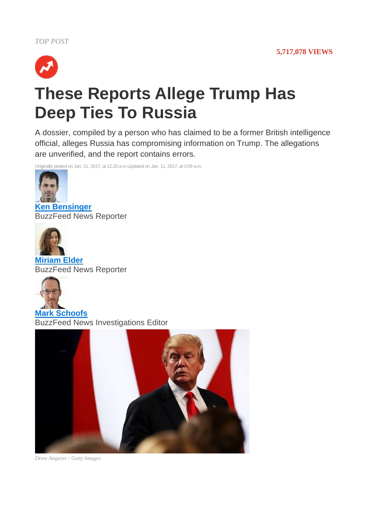

## **These Reports Allege Trump Has Deep Ties To Russia**

A dossier, compiled by a person who has claimed to be a former British intelligence official, alleges Russia has compromising information on Trump. The allegations are unverified, and the report contains errors.

Originally posted on Jan. 11, 2017, at 12:20 a.m.Updated on Jan. 11, 2017, at 3:09 a.m.



**[Ken Bensinger](https://www.buzzfeed.com/kenbensinger?language=en)** BuzzFeed News Reporter



**[Miriam Elder](https://www.buzzfeed.com/miriamelder?language=en)** BuzzFeed News Reporter



**[Mark Schoofs](https://www.buzzfeed.com/markschoofs?language=en)** BuzzFeed News Investigations Editor



*Drew Angerer / Getty Images*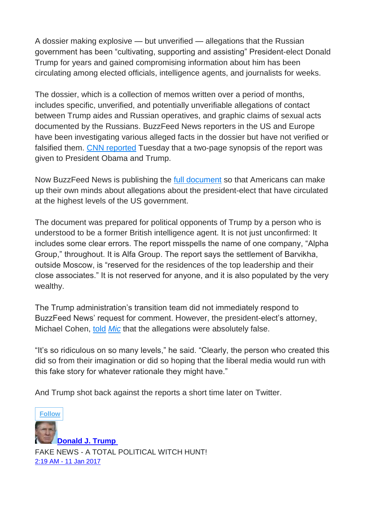A dossier making explosive — but unverified — allegations that the Russian government has been "cultivating, supporting and assisting" President-elect Donald Trump for years and gained compromising information about him has been circulating among elected officials, intelligence agents, and journalists for weeks.

The dossier, which is a collection of memos written over a period of months, includes specific, unverified, and potentially unverifiable allegations of contact between Trump aides and Russian operatives, and graphic claims of sexual acts documented by the Russians. BuzzFeed News reporters in the US and Europe have been investigating various alleged facts in the dossier but have not verified or falsified them. [CNN reported](http://www.cnn.com/2017/01/10/politics/donald-trump-intelligence-report-russia/index.html) Tuesday that a two-page synopsis of the report was given to President Obama and Trump.

Now BuzzFeed News is publishing the [full document](https://www.documentcloud.org/documents/3259984-Trump-Intelligence-Allegations.html) so that Americans can make up their own minds about allegations about the president-elect that have circulated at the highest levels of the US government.

The document was prepared for political opponents of Trump by a person who is understood to be a former British intelligence agent. It is not just unconfirmed: It includes some clear errors. The report misspells the name of one company, "Alpha Group," throughout. It is Alfa Group. The report says the settlement of Barvikha, outside Moscow, is "reserved for the residences of the top leadership and their close associates." It is not reserved for anyone, and it is also populated by the very wealthy.

The Trump administration's transition team did not immediately respond to BuzzFeed News' request for comment. However, the president-elect's attorney, Michael Cohen, [told](https://mic.com/articles/165050/michael-cohen-trump-s-lawyer-emphatically-denies-claims-about-trump-golden-shower#.9e8lDZ9jP) *Mic* that the allegations were absolutely false.

"It's so ridiculous on so many levels," he said. "Clearly, the person who created this did so from their imagination or did so hoping that the liberal media would run with this fake story for whatever rationale they might have."

And Trump shot back against the reports a short time later on Twitter.

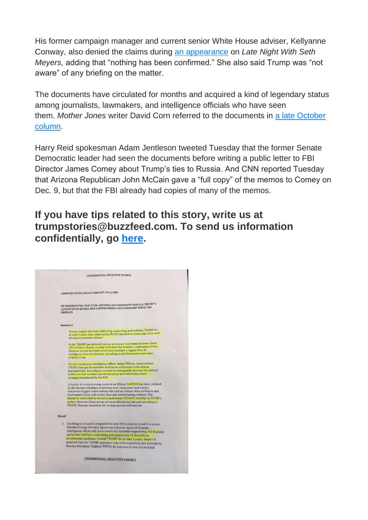His former campaign manager and current senior White House adviser, Kellyanne Conway, also denied the claims during [an appearance](https://www.facebook.com/LateNightSeth/videos/798255053658509/) on *Late Night With Seth Meyers,* adding that "nothing has been confirmed." She also said Trump was "not aware" of any briefing on the matter.

The documents have circulated for months and acquired a kind of legendary status among journalists, lawmakers, and intelligence officials who have seen them. *Mother Jones* writer David Corn referred to the documents in [a late October](http://www.motherjones.com/politics/2016/10/veteran-spy-gave-fbi-info-alleging-russian-operation-cultivate-donald-trump)  [column.](http://www.motherjones.com/politics/2016/10/veteran-spy-gave-fbi-info-alleging-russian-operation-cultivate-donald-trump)

Harry Reid spokesman Adam Jentleson tweeted Tuesday that the former Senate Democratic leader had seen the documents before writing a public letter to FBI Director James Comey about Trump's ties to Russia. And CNN reported Tuesday that Arizona Republican John McCain gave a "full copy" of the memos to Comey on Dec. 9, but that the FBI already had copies of many of the memos.

## **If you have tips related to this story, write us at trumpstories@buzzfeed.com. To send us information confidentially, go [here.](https://contact.buzzfeed.com/)**

|  | <b>COMPANY INTELLIGENCE REPORT 2016/080</b>                                                                                                                                                                              |
|--|--------------------------------------------------------------------------------------------------------------------------------------------------------------------------------------------------------------------------|
|  |                                                                                                                                                                                                                          |
|  | US PRESIDENTIAL ELECTION: REPUBLICAN CANDIDATE DONALD TRUMP'S                                                                                                                                                            |
|  | <b>ACTIVITIES IN RUSSIA AND COMPROMISING RELATIONSHIP WITH THE</b><br><b>KREMLIN</b>                                                                                                                                     |
|  |                                                                                                                                                                                                                          |
|  | Summary                                                                                                                                                                                                                  |
|  | Russian regime has been cultivating, supporting and assisting TRUMP for<br>at least 5 years. Aim, endorsed by PUTIN, has been to encourage splits and                                                                    |
|  | divisions in western alliance                                                                                                                                                                                            |
|  | So far TRUMP has declined various sweetener real estate business deals<br>offered him in Russia in order to further the Kremlin's cultivation of him.<br>However he and his inner circle have accepted a regular flow of |
|  | intelligence from the Kremlin, including on his Democratic and other<br>political rivals                                                                                                                                 |
|  | Former top Russian intelligence officer claims FSB has compromised                                                                                                                                                       |
|  | TRUMP through his activities in Moscow sufficiently to be able to                                                                                                                                                        |
|  | blackmail him. According to several knowledgeable sources, his conduct                                                                                                                                                   |
|  | in Moscow has included perverted sexual acts which have been<br>arranged/monitored by the FSB                                                                                                                            |
|  |                                                                                                                                                                                                                          |
|  | A dossier of compromising material on Hillary CLINTON has been collated<br>by the Russian Intelligence Services over many years and mainly                                                                               |
|  | comprises bugged conversations she had on various visits to Russia and                                                                                                                                                   |
|  | intercepted phone calls rather than any embarrassing conduct. The                                                                                                                                                        |
|  | dossier is controlled by Kremlin spokesman, PESKOV, directly on PUTIN's                                                                                                                                                  |
|  | orders. However it has not as yet been distributed abroad, including to                                                                                                                                                  |
|  | TRUMP. Russian intentions for its deployment still unclear                                                                                                                                                               |
|  | Detail                                                                                                                                                                                                                   |
|  | 1. Speaking to a trusted compatriot in June 2016 sources A and B, a senior                                                                                                                                               |
|  | Russian Foreign Ministry figure and a former top level Russian                                                                                                                                                           |
|  | intelligence officer still active inside the Kremlin respectively, the Russian                                                                                                                                           |
|  | authorities had been cultivating and supporting US Republican                                                                                                                                                            |
|  | presidential candidate, Donald TRUMP for at least 5 years. Source B                                                                                                                                                      |
|  | asserted that the TRUMP operation was both supported and directed by                                                                                                                                                     |
|  | Russian President Vladimir PUTIN. Its aim was to sow discord and                                                                                                                                                         |
|  | <b>CONFIDENTIAL/SENSITIVE SOURCE</b>                                                                                                                                                                                     |
|  |                                                                                                                                                                                                                          |